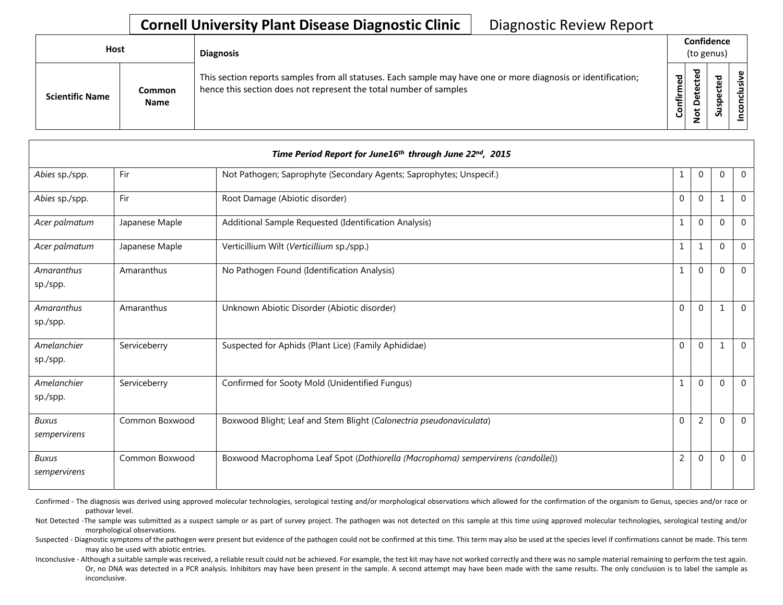| Host |                        |                              | <b>Diagnosis</b>                                                                                                                                                                   | Confidence<br>(to genus)   |   |        |                 |
|------|------------------------|------------------------------|------------------------------------------------------------------------------------------------------------------------------------------------------------------------------------|----------------------------|---|--------|-----------------|
|      | <b>Scientific Name</b> | <b>Common</b><br><b>Name</b> | This section reports samples from all statuses. Each sample may have one or more diagnosis or identification;<br>hence this section does not represent the total number of samples | 5g<br>٤<br>nfir<br>$\circ$ | ъ | ᇃ<br>S | usiv<br>᠊ᠣ<br>ت |

| Time Period Report for June16th through June 22nd, 2015 |                |                                                                                  |                |                |              |                |  |
|---------------------------------------------------------|----------------|----------------------------------------------------------------------------------|----------------|----------------|--------------|----------------|--|
| Abies sp./spp.                                          | Fir            | Not Pathogen; Saprophyte (Secondary Agents; Saprophytes; Unspecif.)              | 1              | $\mathbf 0$    | $\mathbf{0}$ | $\overline{0}$ |  |
| Abies sp./spp.                                          | Fir            | Root Damage (Abiotic disorder)                                                   | $\Omega$       | $\Omega$       | 1            | $\Omega$       |  |
| Acer palmatum                                           | Japanese Maple | Additional Sample Requested (Identification Analysis)                            | $\mathbf{1}$   | $\Omega$       | $\Omega$     | $\Omega$       |  |
| Acer palmatum                                           | Japanese Maple | Verticillium Wilt (Verticillium sp./spp.)                                        | 1              | 1              | $\Omega$     | $\mathbf{0}$   |  |
| Amaranthus<br>sp./spp.                                  | Amaranthus     | No Pathogen Found (Identification Analysis)                                      | $\mathbf{1}$   | $\Omega$       | $\mathbf{0}$ | $\Omega$       |  |
| Amaranthus<br>sp./spp.                                  | Amaranthus     | Unknown Abiotic Disorder (Abiotic disorder)                                      | $\mathbf 0$    | $\Omega$       | $\mathbf{1}$ | $\mathbf{0}$   |  |
| Amelanchier<br>sp./spp.                                 | Serviceberry   | Suspected for Aphids (Plant Lice) (Family Aphididae)                             | $\overline{0}$ | $\Omega$       | 1            | $\overline{0}$ |  |
| Amelanchier<br>sp./spp.                                 | Serviceberry   | Confirmed for Sooty Mold (Unidentified Fungus)                                   | $\mathbf{1}$   | $\Omega$       | $\mathbf{0}$ | $\mathbf{0}$   |  |
| <b>Buxus</b><br>sempervirens                            | Common Boxwood | Boxwood Blight; Leaf and Stem Blight (Calonectria pseudonaviculata)              | $\Omega$       | $\overline{2}$ | $\Omega$     | $\Omega$       |  |
| <b>Buxus</b><br>sempervirens                            | Common Boxwood | Boxwood Macrophoma Leaf Spot (Dothiorella (Macrophoma) sempervirens (candollei)) | $\overline{2}$ | $\Omega$       | $\mathbf{0}$ | $\Omega$       |  |

Confirmed - The diagnosis was derived using approved molecular technologies, serological testing and/or morphological observations which allowed for the confirmation of the organism to Genus, species and/or race or pathovar level.

Not Detected -The sample was submitted as a suspect sample or as part of survey project. The pathogen was not detected on this sample at this time using approved molecular technologies, serological testing and/or morphological observations.

Suspected - Diagnostic symptoms of the pathogen were present but evidence of the pathogen could not be confirmed at this time. This term may also be used at the species level if confirmations cannot be made. This term may also be used with abiotic entries.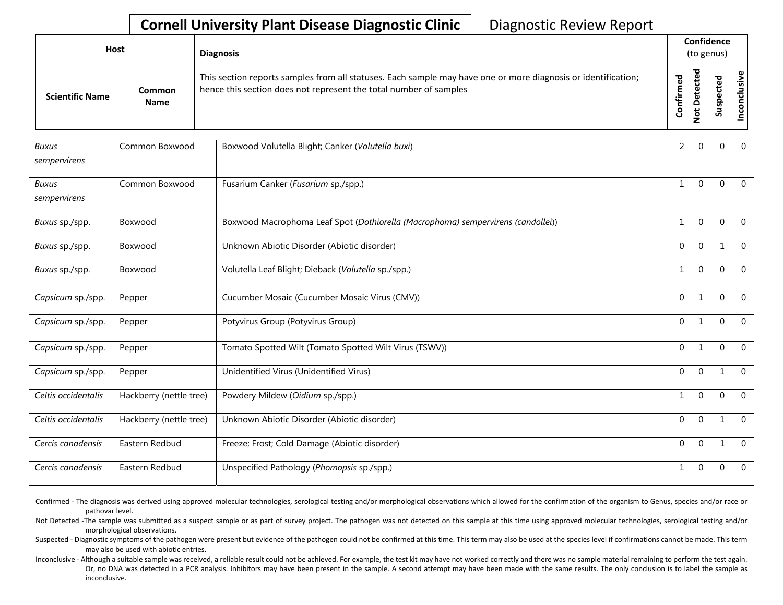| <b>Host</b>            |                              | <b>Diagnosis</b>                                                                                                                                                                   | Confidence<br>(to genus) |                     |        |                                |
|------------------------|------------------------------|------------------------------------------------------------------------------------------------------------------------------------------------------------------------------------|--------------------------|---------------------|--------|--------------------------------|
| <b>Scientific Name</b> | <b>Common</b><br><b>Name</b> | This section reports samples from all statuses. Each sample may have one or more diagnosis or identification;<br>hence this section does not represent the total number of samples | Confirmed                | ᇃ<br>$\Omega$<br>سە | ⊻<br>S | ω<br>usiv<br>ਹ<br>$\circ$<br>ō |

| <b>Buxus</b><br>sempervirens | Common Boxwood          | Boxwood Volutella Blight; Canker (Volutella buxi)                                | 2            | $\mathbf 0$    | $\theta$     | $\overline{0}$ |
|------------------------------|-------------------------|----------------------------------------------------------------------------------|--------------|----------------|--------------|----------------|
| Buxus<br>sempervirens        | Common Boxwood          | Fusarium Canker (Fusarium sp./spp.)                                              | $\mathbf{1}$ | $\Omega$       | $\mathbf{0}$ | $\overline{0}$ |
| Buxus sp./spp.               | Boxwood                 | Boxwood Macrophoma Leaf Spot (Dothiorella (Macrophoma) sempervirens (candollei)) | $\mathbf{1}$ | $\Omega$       | $\Omega$     | $\overline{0}$ |
| Buxus sp./spp.               | Boxwood                 | Unknown Abiotic Disorder (Abiotic disorder)                                      | $\mathbf 0$  | $\Omega$       | $\mathbf{1}$ | $\Omega$       |
| Buxus sp./spp.               | Boxwood                 | Volutella Leaf Blight; Dieback (Volutella sp./spp.)                              | $\mathbf{1}$ | $\Omega$       | $\mathbf{0}$ | $\Omega$       |
| Capsicum sp./spp.            | Pepper                  | Cucumber Mosaic (Cucumber Mosaic Virus (CMV))                                    | $\mathbf 0$  | $\mathbf{1}$   | $\Omega$     | $\Omega$       |
| Capsicum sp./spp.            | Pepper                  | Potyvirus Group (Potyvirus Group)                                                | $\mathbf 0$  | $\mathbf{1}$   | $\Omega$     | $\overline{0}$ |
| Capsicum sp./spp.            | Pepper                  | Tomato Spotted Wilt (Tomato Spotted Wilt Virus (TSWV))                           | $\mathbf 0$  | $\mathbf{1}$   | $\mathbf{0}$ | $\Omega$       |
| Capsicum sp./spp.            | Pepper                  | Unidentified Virus (Unidentified Virus)                                          | $\mathbf 0$  | $\mathbf 0$    | 1            | $\Omega$       |
| Celtis occidentalis          | Hackberry (nettle tree) | Powdery Mildew (Oidium sp./spp.)                                                 | $\mathbf{1}$ | $\overline{0}$ | $\mathbf{0}$ | $\overline{0}$ |
| Celtis occidentalis          | Hackberry (nettle tree) | Unknown Abiotic Disorder (Abiotic disorder)                                      | $\mathbf 0$  | $\Omega$       | $\mathbf{1}$ | $\Omega$       |
| Cercis canadensis            | Eastern Redbud          | Freeze; Frost; Cold Damage (Abiotic disorder)                                    | $\mathbf 0$  | $\mathbf{0}$   | 1            | $\mathbf 0$    |
| Cercis canadensis            | Eastern Redbud          | Unspecified Pathology (Phomopsis sp./spp.)                                       | 1            | $\mathbf 0$    | $\mathbf{0}$ | $\overline{0}$ |

Confirmed - The diagnosis was derived using approved molecular technologies, serological testing and/or morphological observations which allowed for the confirmation of the organism to Genus, species and/or race or pathovar level.

Not Detected -The sample was submitted as a suspect sample or as part of survey project. The pathogen was not detected on this sample at this time using approved molecular technologies, serological testing and/or morphological observations.

Suspected - Diagnostic symptoms of the pathogen were present but evidence of the pathogen could not be confirmed at this time. This term may also be used at the species level if confirmations cannot be made. This term may also be used with abiotic entries.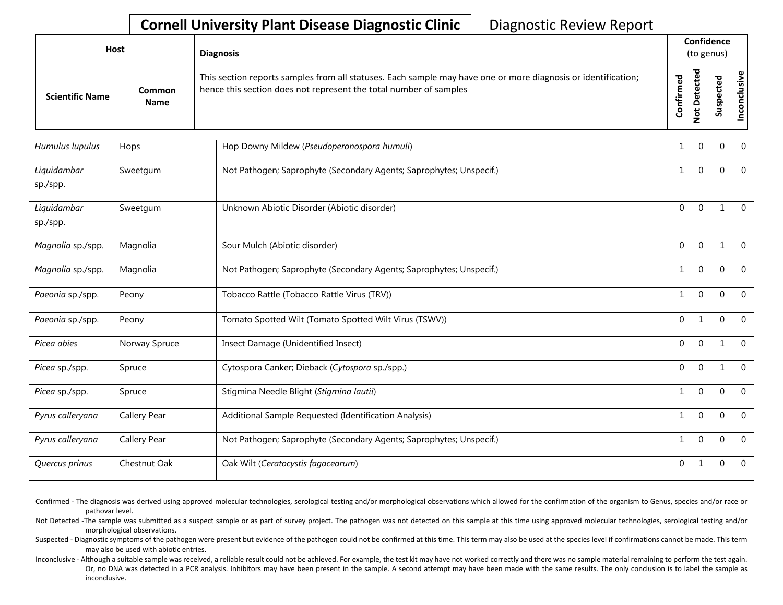| <b>Host</b>            |                       | <b>Diagnosis</b>                                                                                                                                                                   | Confidence<br>(to genus) |             |                                             |                   |
|------------------------|-----------------------|------------------------------------------------------------------------------------------------------------------------------------------------------------------------------------|--------------------------|-------------|---------------------------------------------|-------------------|
| <b>Scientific Name</b> | Common<br><b>Name</b> | This section reports samples from all statuses. Each sample may have one or more diagnosis or identification;<br>hence this section does not represent the total number of samples | 5g<br>nfirm<br>රි        | ъ<br>Φ<br>≏ | ᇃ<br>Φ<br>≖<br>ω<br>௨<br><b>S</b><br>Б<br>S | usive<br>ē<br>nco |

| Humulus lupulus         | Hops          | Hop Downy Mildew (Pseudoperonospora humuli)                         | 1            | $\mathbf{0}$ | $\Omega$       | $\mathbf{0}$   |
|-------------------------|---------------|---------------------------------------------------------------------|--------------|--------------|----------------|----------------|
| Liquidambar<br>sp./spp. | Sweetgum      | Not Pathogen; Saprophyte (Secondary Agents; Saprophytes; Unspecif.) | $\mathbf{1}$ | $\mathbf 0$  | $\Omega$       | $\overline{0}$ |
| Liquidambar<br>sp./spp. | Sweetgum      | Unknown Abiotic Disorder (Abiotic disorder)                         | $\Omega$     | $\Omega$     | $\mathbf{1}$   | $\Omega$       |
| Magnolia sp./spp.       | Magnolia      | Sour Mulch (Abiotic disorder)                                       | $\Omega$     | $\Omega$     | $\mathbf{1}$   | $\Omega$       |
| Magnolia sp./spp.       | Magnolia      | Not Pathogen; Saprophyte (Secondary Agents; Saprophytes; Unspecif.) | 1            | $\mathbf{0}$ | $\Omega$       | $\mathbf{0}$   |
| Paeonia sp./spp.        | Peony         | Tobacco Rattle (Tobacco Rattle Virus (TRV))                         | 1            | $\mathbf 0$  | $\Omega$       | $\overline{0}$ |
| Paeonia sp./spp.        | Peony         | Tomato Spotted Wilt (Tomato Spotted Wilt Virus (TSWV))              | $\Omega$     | $\mathbf{1}$ | $\Omega$       | $\mathbf{0}$   |
| Picea abies             | Norway Spruce | Insect Damage (Unidentified Insect)                                 | $\Omega$     | $\Omega$     | 1              | $\Omega$       |
| Picea sp./spp.          | Spruce        | Cytospora Canker; Dieback (Cytospora sp./spp.)                      | $\Omega$     | $\mathbf 0$  | -1             | $\mathbf{0}$   |
| Picea sp./spp.          | Spruce        | Stigmina Needle Blight (Stigmina lautii)                            | $\mathbf{1}$ | $\mathbf 0$  | $\Omega$       | $\mathbf{0}$   |
| Pyrus calleryana        | Callery Pear  | Additional Sample Requested (Identification Analysis)               | 1            | $\mathbf 0$  | $\Omega$       | $\mathbf{0}$   |
| Pyrus calleryana        | Callery Pear  | Not Pathogen; Saprophyte (Secondary Agents; Saprophytes; Unspecif.) | 1            | $\mathbf{0}$ | $\Omega$       | $\mathbf{0}$   |
| Quercus prinus          | Chestnut Oak  | Oak Wilt (Ceratocystis fagacearum)                                  | $\mathbf 0$  | 1            | $\overline{0}$ | $\overline{0}$ |

Confirmed - The diagnosis was derived using approved molecular technologies, serological testing and/or morphological observations which allowed for the confirmation of the organism to Genus, species and/or race or pathovar level.

Not Detected -The sample was submitted as a suspect sample or as part of survey project. The pathogen was not detected on this sample at this time using approved molecular technologies, serological testing and/or morphological observations.

Suspected - Diagnostic symptoms of the pathogen were present but evidence of the pathogen could not be confirmed at this time. This term may also be used at the species level if confirmations cannot be made. This term may also be used with abiotic entries.